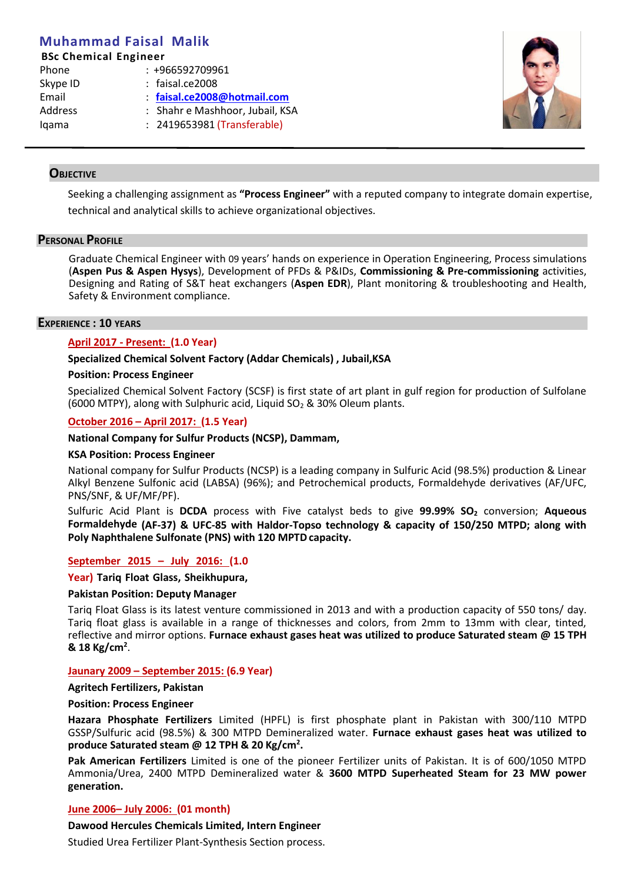# **Muhammad Faisal Malik**

## **BSc Chemical Engineer**

| Phone    | $: +966592709961$               |
|----------|---------------------------------|
| Skype ID | $:$ faisal.ce2008               |
| Email    | : faisal.ce2008@hotmail.com     |
| Address  | : Shahr e Mashhoor, Jubail, KSA |
| lgama    | : 2419653981 (Transferable)     |
|          |                                 |



# **OBJECTIVE**

Seeking a challenging assignment as **"Process Engineer"** with a reputed company to integrate domain expertise, technical and analytical skills to achieve organizational objectives.

## **PERSONAL PROFILE**

Graduate Chemical Engineer with 09 years' hands on experience in Operation Engineering, Process simulations (**Aspen Pus & Aspen Hysys**), Development of PFDs & P&IDs, **Commissioning & Pre-commissioning** activities, Designing and Rating of S&T heat exchangers (**Aspen EDR**), Plant monitoring & troubleshooting and Health, Safety & Environment compliance.

## **EXPERIENCE : 10 YEARS**

# **April 2017 - Present: (1.0 Year)**

## **Specialized Chemical Solvent Factory (Addar Chemicals) , Jubail,KSA**

#### **Position: Process Engineer**

Specialized Chemical Solvent Factory (SCSF) is first state of art plant in gulf region for production of Sulfolane (6000 MTPY), along with Sulphuric acid, Liquid  $SO<sub>2</sub>$  & 30% Oleum plants.

## **October 2016 – April 2017: (1.5 Year)**

## **National Company for Sulfur Products (NCSP), Dammam,**

## **KSA Position: Process Engineer**

National company for Sulfur Products (NCSP) is a leading company in Sulfuric Acid (98.5%) production & Linear Alkyl Benzene Sulfonic acid (LABSA) (96%); and Petrochemical products, Formaldehyde derivatives (AF/UFC, PNS/SNF, & UF/MF/PF).

Sulfuric Acid Plant is **DCDA** process with Five catalyst beds to give **99.99% SO<sup>2</sup>** conversion; **Aqueous Formaldehyde (AF-37) & UFC-85 with Haldor-Topso technology & capacity of 150/250 MTPD; along with Poly Naphthalene Sulfonate (PNS) with 120 MPTDcapacity.**

## **September 2015 – July 2016: (1.0**

#### **Year) Tariq Float Glass, Sheikhupura,**

#### **Pakistan Position: Deputy Manager**

Tariq Float Glass is its latest venture commissioned in 2013 and with a production capacity of 550 tons/ day. Tariq float glass is available in a range of thicknesses and colors, from 2mm to 13mm with clear, tinted, reflective and mirror options. **Furnace exhaust gases heat was utilized to produce Saturated steam @ 15 TPH & 18 Kg/cm<sup>2</sup>** .

## **Jaunary 2009 – September 2015: (6.9 Year)**

#### **Agritech Fertilizers, Pakistan**

#### **Position: Process Engineer**

**Hazara Phosphate Fertilizers** Limited (HPFL) is first phosphate plant in Pakistan with 300/110 MTPD GSSP/Sulfuric acid (98.5%) & 300 MTPD Demineralized water. **Furnace exhaust gases heat was utilized to produce Saturated steam @ 12 TPH & 20 Kg/cm<sup>2</sup> .**

**Pak American Fertilizers** Limited is one of the pioneer Fertilizer units of Pakistan. It is of 600/1050 MTPD Ammonia/Urea, 2400 MTPD Demineralized water & **3600 MTPD Superheated Steam for 23 MW power generation.**

## **June 2006– July 2006: (01 month)**

## **Dawood Hercules Chemicals Limited, Intern Engineer**

Studied Urea Fertilizer Plant-Synthesis Section process.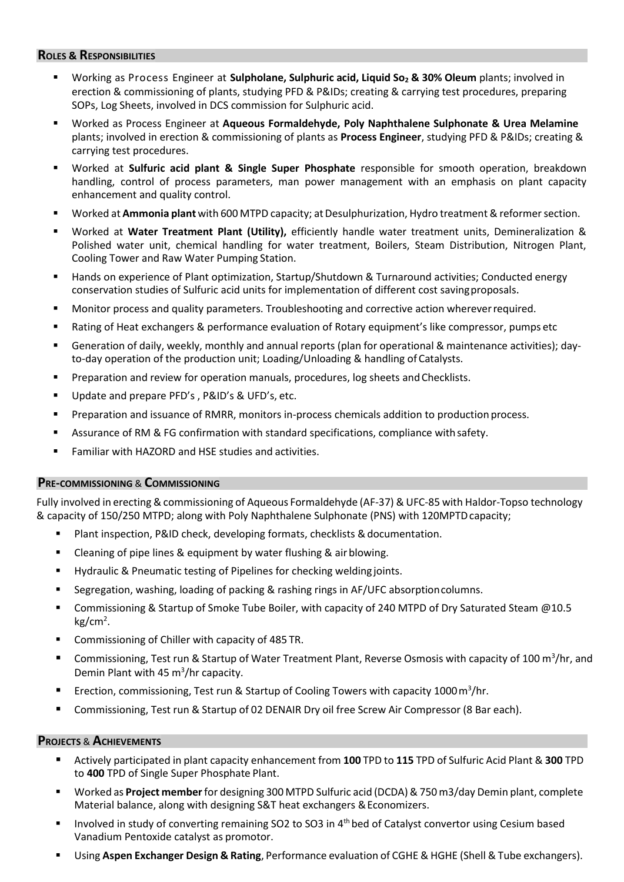# **ROLES & RESPONSIBILITIES**

- Working as Process Engineer at **Sulpholane, Sulphuric acid, Liquid So<sup>2</sup> & 30% Oleum** plants; involved in erection & commissioning of plants, studying PFD & P&IDs; creating & carrying test procedures, preparing SOPs, Log Sheets, involved in DCS commission for Sulphuric acid.
- Worked as Process Engineer at **Aqueous Formaldehyde, Poly Naphthalene Sulphonate & Urea Melamine** plants; involved in erection & commissioning of plants as **Process Engineer**, studying PFD & P&IDs; creating & carrying test procedures.
- Worked at **Sulfuric acid plant & Single Super Phosphate** responsible for smooth operation, breakdown handling, control of process parameters, man power management with an emphasis on plant capacity enhancement and quality control.
- Worked at **Ammonia plant** with 600 MTPD capacity; at Desulphurization, Hydro treatment & reformer section.
- Worked at **Water Treatment Plant (Utility),** efficiently handle water treatment units, Demineralization & Polished water unit, chemical handling for water treatment, Boilers, Steam Distribution, Nitrogen Plant, Cooling Tower and Raw Water Pumping Station.
- Hands on experience of Plant optimization, Startup/Shutdown & Turnaround activities; Conducted energy conservation studies of Sulfuric acid units for implementation of different cost savingproposals.
- **Monitor process and quality parameters. Troubleshooting and corrective action wherever required.**
- Rating of Heat exchangers & performance evaluation of Rotary equipment's like compressor, pumps etc
- Generation of daily, weekly, monthly and annual reports (plan for operational & maintenance activities); dayto-day operation of the production unit; Loading/Unloading & handling of Catalysts.
- Preparation and review for operation manuals, procedures, log sheets and Checklists.
- Update and prepare PFD's, P&ID's & UFD's, etc.
- Preparation and issuance of RMRR, monitors in-process chemicals addition to production process.
- Assurance of RM & FG confirmation with standard specifications, compliance with safety.
- Familiar with HAZORD and HSE studies and activities.

## **PRE-COMMISSIONING** & **COMMISSIONING**

Fully involved in erecting &commissioning of Aqueous Formaldehyde (AF-37) & UFC-85 with Haldor-Topso technology & capacity of 150/250 MTPD; along with Poly Naphthalene Sulphonate (PNS) with 120MPTDcapacity;

- Plant inspection, P&ID check, developing formats, checklists & documentation.
- **EXTER** Cleaning of pipe lines & equipment by water flushing & air blowing.
- Hydraulic & Pneumatic testing of Pipelines for checking welding joints.
- Segregation, washing, loading of packing & rashing rings in AF/UFC absorptioncolumns.
- Commissioning & Startup of Smoke Tube Boiler, with capacity of 240 MTPD of Dry Saturated Steam @10.5 kg/cm<sup>2</sup>.
- Commissioning of Chiller with capacity of 485 TR.
- Commissioning, Test run & Startup of Water Treatment Plant, Reverse Osmosis with capacity of 100 m<sup>3</sup>/hr, and Demin Plant with 45  $m^3$ /hr capacity.
- **Exection, commissioning, Test run & Startup of Cooling Towers with capacity 1000 m<sup>3</sup>/hr.**
- Commissioning, Test run & Startup of 02 DENAIR Dry oil free Screw Air Compressor (8 Bar each).

## **PROJECTS** & **ACHIEVEMENTS**

- Actively participated in plant capacity enhancement from 100 TPD to 115 TPD of Sulfuric Acid Plant & 300 TPD to **400** TPD of Single Super Phosphate Plant.
- Worked as **Project member**for designing 300 MTPD Sulfuric acid (DCDA)&750m3/day Demin plant, complete Material balance, along with designing S&T heat exchangers & Economizers.
- Involved in study of converting remaining SO2 to SO3 in 4th bed of Catalyst convertor using Cesium based Vanadium Pentoxide catalyst as promotor.
- Using **Aspen Exchanger Design & Rating**, Performance evaluation of CGHE & HGHE (Shell & Tube exchangers).